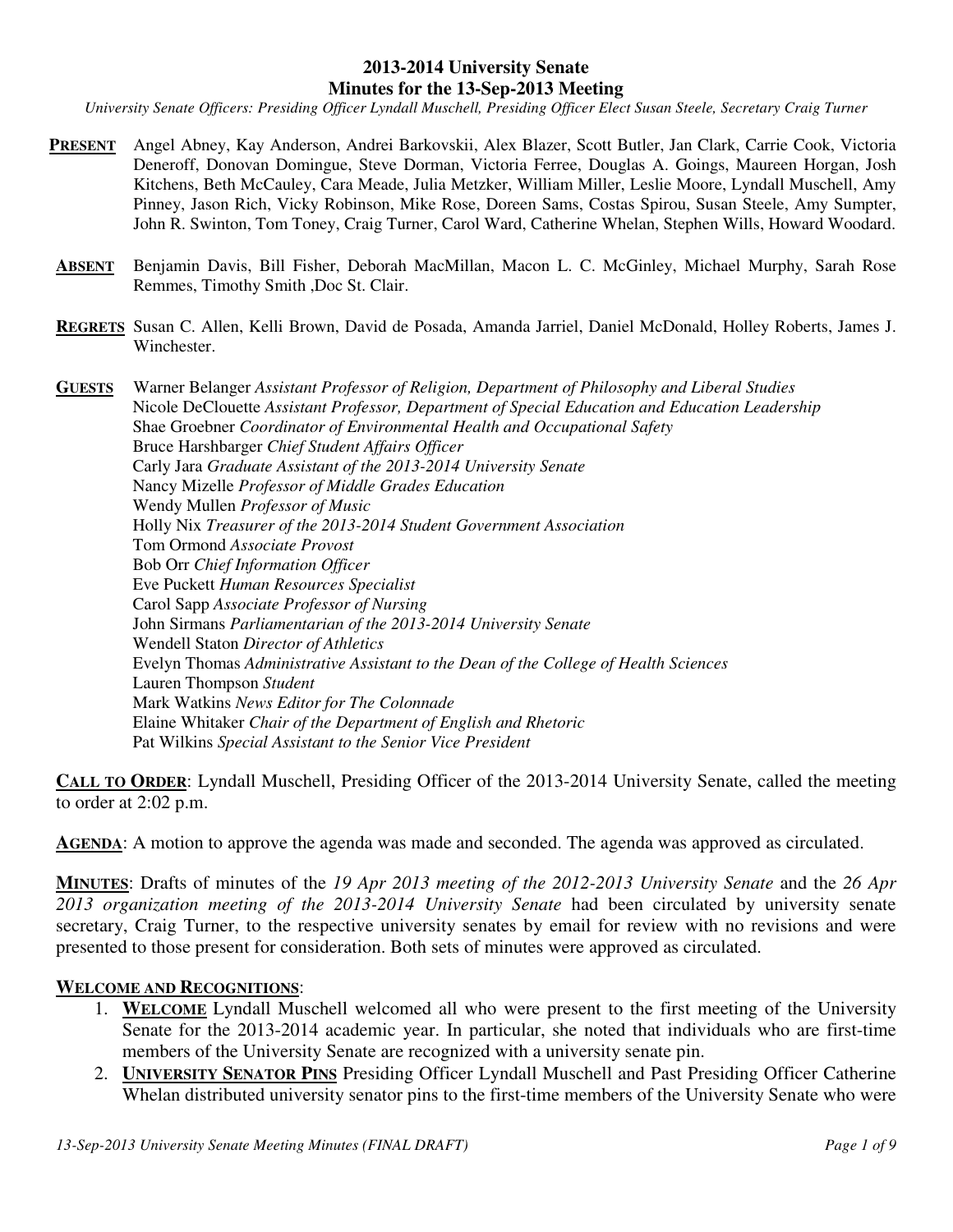#### **2013-2014 University Senate Minutes for the 13-Sep-2013 Meeting**

*University Senate Officers: Presiding Officer Lyndall Muschell, Presiding Officer Elect Susan Steele, Secretary Craig Turner* 

- **PRESENT** Angel Abney, Kay Anderson, Andrei Barkovskii, Alex Blazer, Scott Butler, Jan Clark, Carrie Cook, Victoria Deneroff, Donovan Domingue, Steve Dorman, Victoria Ferree, Douglas A. Goings, Maureen Horgan, Josh Kitchens, Beth McCauley, Cara Meade, Julia Metzker, William Miller, Leslie Moore, Lyndall Muschell, Amy Pinney, Jason Rich, Vicky Robinson, Mike Rose, Doreen Sams, Costas Spirou, Susan Steele, Amy Sumpter, John R. Swinton, Tom Toney, Craig Turner, Carol Ward, Catherine Whelan, Stephen Wills, Howard Woodard.
- **ABSENT** Benjamin Davis, Bill Fisher, Deborah MacMillan, Macon L. C. McGinley, Michael Murphy, Sarah Rose Remmes, Timothy Smith ,Doc St. Clair.
- **REGRETS** Susan C. Allen, Kelli Brown, David de Posada, Amanda Jarriel, Daniel McDonald, Holley Roberts, James J. Winchester.

**GUESTS** Warner Belanger *Assistant Professor of Religion, Department of Philosophy and Liberal Studies* Nicole DeClouette *Assistant Professor, Department of Special Education and Education Leadership*  Shae Groebner *Coordinator of Environmental Health and Occupational Safety* Bruce Harshbarger *Chief Student Affairs Officer* Carly Jara *Graduate Assistant of the 2013-2014 University Senate* Nancy Mizelle *Professor of Middle Grades Education* Wendy Mullen *Professor of Music* Holly Nix *Treasurer of the 2013-2014 Student Government Association* Tom Ormond *Associate Provost*  Bob Orr *Chief Information Officer*  Eve Puckett *Human Resources Specialist*  Carol Sapp *Associate Professor of Nursing* John Sirmans *Parliamentarian of the 2013-2014 University Senate* Wendell Staton *Director of Athletics* Evelyn Thomas *Administrative Assistant to the Dean of the College of Health Sciences*  Lauren Thompson *Student*  Mark Watkins *News Editor for The Colonnade* Elaine Whitaker *Chair of the Department of English and Rhetoric* Pat Wilkins *Special Assistant to the Senior Vice President*

**CALL TO ORDER**: Lyndall Muschell, Presiding Officer of the 2013-2014 University Senate, called the meeting to order at 2:02 p.m.

AGENDA: A motion to approve the agenda was made and seconded. The agenda was approved as circulated.

**MINUTES**: Drafts of minutes of the *19 Apr 2013 meeting of the 2012-2013 University Senate* and the *26 Apr 2013 organization meeting of the 2013-2014 University Senate* had been circulated by university senate secretary, Craig Turner, to the respective university senates by email for review with no revisions and were presented to those present for consideration. Both sets of minutes were approved as circulated.

#### **WELCOME AND RECOGNITIONS**:

- 1. **WELCOME** Lyndall Muschell welcomed all who were present to the first meeting of the University Senate for the 2013-2014 academic year. In particular, she noted that individuals who are first-time members of the University Senate are recognized with a university senate pin.
- 2. **UNIVERSITY SENATOR PINS** Presiding Officer Lyndall Muschell and Past Presiding Officer Catherine Whelan distributed university senator pins to the first-time members of the University Senate who were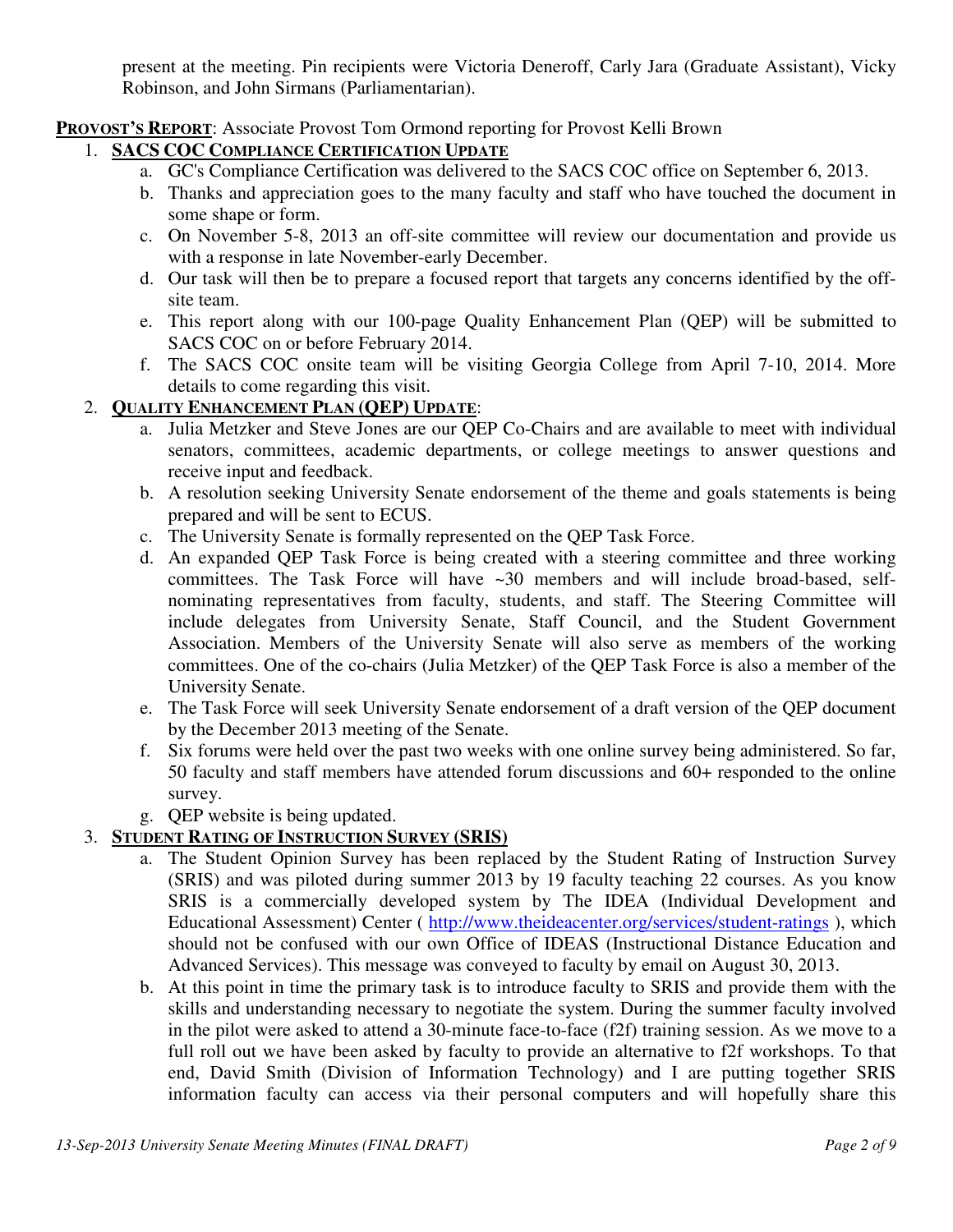present at the meeting. Pin recipients were Victoria Deneroff, Carly Jara (Graduate Assistant), Vicky Robinson, and John Sirmans (Parliamentarian).

## **PROVOST'S REPORT**: Associate Provost Tom Ormond reporting for Provost Kelli Brown

## 1. **SACS COC COMPLIANCE CERTIFICATION UPDATE**

- a. GC's Compliance Certification was delivered to the SACS COC office on September 6, 2013.
- b. Thanks and appreciation goes to the many faculty and staff who have touched the document in some shape or form.
- c. On November 5-8, 2013 an off-site committee will review our documentation and provide us with a response in late November-early December.
- d. Our task will then be to prepare a focused report that targets any concerns identified by the offsite team.
- e. This report along with our 100-page Quality Enhancement Plan (QEP) will be submitted to SACS COC on or before February 2014.
- f. The SACS COC onsite team will be visiting Georgia College from April 7-10, 2014. More details to come regarding this visit.

#### 2. **QUALITY ENHANCEMENT PLAN (QEP) UPDATE**:

- a. Julia Metzker and Steve Jones are our QEP Co-Chairs and are available to meet with individual senators, committees, academic departments, or college meetings to answer questions and receive input and feedback.
- b. A resolution seeking University Senate endorsement of the theme and goals statements is being prepared and will be sent to ECUS.
- c. The University Senate is formally represented on the QEP Task Force.
- d. An expanded QEP Task Force is being created with a steering committee and three working committees. The Task Force will have ~30 members and will include broad-based, selfnominating representatives from faculty, students, and staff. The Steering Committee will include delegates from University Senate, Staff Council, and the Student Government Association. Members of the University Senate will also serve as members of the working committees. One of the co-chairs (Julia Metzker) of the QEP Task Force is also a member of the University Senate.
- e. The Task Force will seek University Senate endorsement of a draft version of the QEP document by the December 2013 meeting of the Senate.
- f. Six forums were held over the past two weeks with one online survey being administered. So far, 50 faculty and staff members have attended forum discussions and 60+ responded to the online survey.
- g. QEP website is being updated.

### 3. **STUDENT RATING OF INSTRUCTION SURVEY (SRIS)**

- a. The Student Opinion Survey has been replaced by the Student Rating of Instruction Survey (SRIS) and was piloted during summer 2013 by 19 faculty teaching 22 courses. As you know SRIS is a commercially developed system by The IDEA (Individual Development and Educational Assessment) Center ( http://www.theideacenter.org/services/student-ratings ), which should not be confused with our own Office of IDEAS (Instructional Distance Education and Advanced Services). This message was conveyed to faculty by email on August 30, 2013.
- b. At this point in time the primary task is to introduce faculty to SRIS and provide them with the skills and understanding necessary to negotiate the system. During the summer faculty involved in the pilot were asked to attend a 30-minute face-to-face (f2f) training session. As we move to a full roll out we have been asked by faculty to provide an alternative to f2f workshops. To that end, David Smith (Division of Information Technology) and I are putting together SRIS information faculty can access via their personal computers and will hopefully share this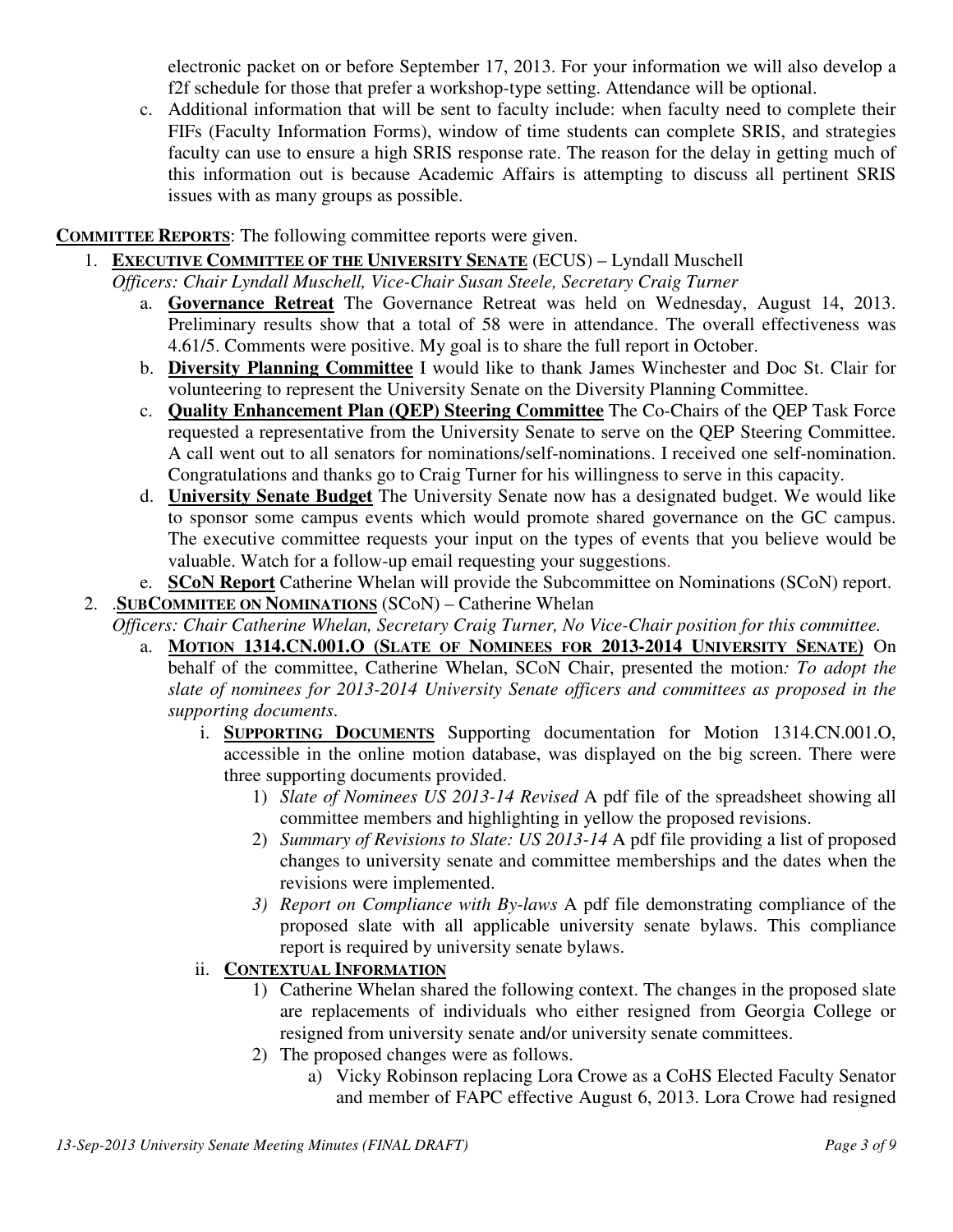electronic packet on or before September 17, 2013. For your information we will also develop a f2f schedule for those that prefer a workshop-type setting. Attendance will be optional.

c. Additional information that will be sent to faculty include: when faculty need to complete their FIFs (Faculty Information Forms), window of time students can complete SRIS, and strategies faculty can use to ensure a high SRIS response rate. The reason for the delay in getting much of this information out is because Academic Affairs is attempting to discuss all pertinent SRIS issues with as many groups as possible.

## **COMMITTEE REPORTS**: The following committee reports were given.

- 1. **EXECUTIVE COMMITTEE OF THE UNIVERSITY SENATE** (ECUS) Lyndall Muschell
	- *Officers: Chair Lyndall Muschell, Vice-Chair Susan Steele, Secretary Craig Turner*
		- a. **Governance Retreat** The Governance Retreat was held on Wednesday, August 14, 2013. Preliminary results show that a total of 58 were in attendance. The overall effectiveness was 4.61/5. Comments were positive. My goal is to share the full report in October.
		- b. **Diversity Planning Committee** I would like to thank James Winchester and Doc St. Clair for volunteering to represent the University Senate on the Diversity Planning Committee.
		- c. **Quality Enhancement Plan (QEP) Steering Committee** The Co-Chairs of the QEP Task Force requested a representative from the University Senate to serve on the QEP Steering Committee. A call went out to all senators for nominations/self-nominations. I received one self-nomination. Congratulations and thanks go to Craig Turner for his willingness to serve in this capacity.
		- d. **University Senate Budget** The University Senate now has a designated budget. We would like to sponsor some campus events which would promote shared governance on the GC campus. The executive committee requests your input on the types of events that you believe would be valuable. Watch for a follow-up email requesting your suggestions.
		- e. **SCoN Report** Catherine Whelan will provide the Subcommittee on Nominations (SCoN) report.

## 2. .**SUBCOMMITEE ON NOMINATIONS** (SCoN) – Catherine Whelan

*Officers: Chair Catherine Whelan, Secretary Craig Turner, No Vice-Chair position for this committee.*

- a. **MOTION 1314.CN.001.O (SLATE OF NOMINEES FOR 2013-2014 UNIVERSITY SENATE)** On behalf of the committee, Catherine Whelan, SCoN Chair, presented the motion*: To adopt the slate of nominees for 2013-2014 University Senate officers and committees as proposed in the supporting documents*.
	- i. **SUPPORTING DOCUMENTS** Supporting documentation for Motion 1314.CN.001.O, accessible in the online motion database, was displayed on the big screen. There were three supporting documents provided.
		- 1) *Slate of Nominees US 2013-14 Revised* A pdf file of the spreadsheet showing all committee members and highlighting in yellow the proposed revisions.
		- 2) *Summary of Revisions to Slate: US 2013-14* A pdf file providing a list of proposed changes to university senate and committee memberships and the dates when the revisions were implemented.
		- *3) Report on Compliance with By-laws* A pdf file demonstrating compliance of the proposed slate with all applicable university senate bylaws. This compliance report is required by university senate bylaws.
	- ii. **CONTEXTUAL INFORMATION**
		- 1) Catherine Whelan shared the following context. The changes in the proposed slate are replacements of individuals who either resigned from Georgia College or resigned from university senate and/or university senate committees.
		- 2) The proposed changes were as follows.
			- a) Vicky Robinson replacing Lora Crowe as a CoHS Elected Faculty Senator and member of FAPC effective August 6, 2013. Lora Crowe had resigned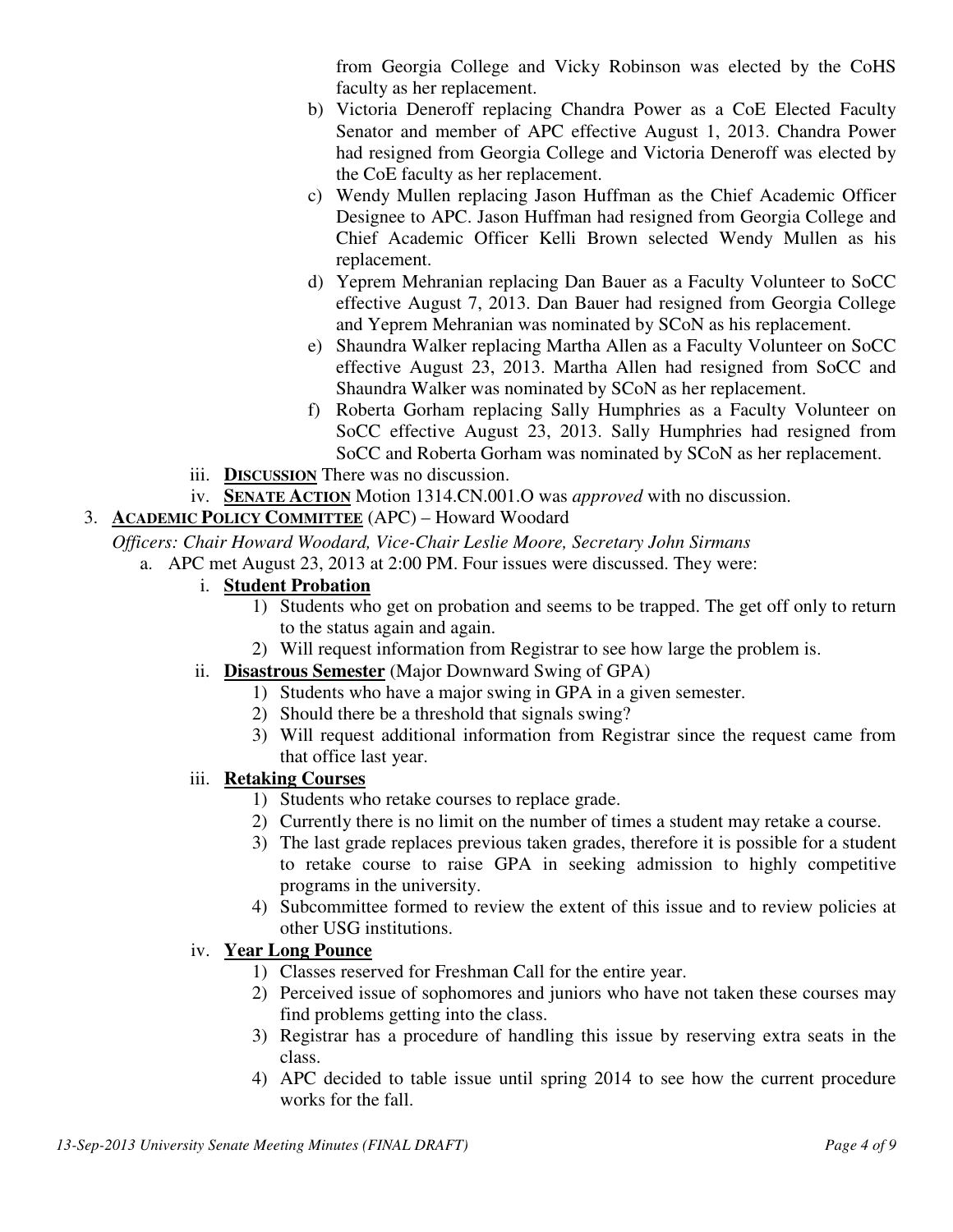from Georgia College and Vicky Robinson was elected by the CoHS faculty as her replacement.

- b) Victoria Deneroff replacing Chandra Power as a CoE Elected Faculty Senator and member of APC effective August 1, 2013. Chandra Power had resigned from Georgia College and Victoria Deneroff was elected by the CoE faculty as her replacement.
- c) Wendy Mullen replacing Jason Huffman as the Chief Academic Officer Designee to APC. Jason Huffman had resigned from Georgia College and Chief Academic Officer Kelli Brown selected Wendy Mullen as his replacement.
- d) Yeprem Mehranian replacing Dan Bauer as a Faculty Volunteer to SoCC effective August 7, 2013. Dan Bauer had resigned from Georgia College and Yeprem Mehranian was nominated by SCoN as his replacement.
- e) Shaundra Walker replacing Martha Allen as a Faculty Volunteer on SoCC effective August 23, 2013. Martha Allen had resigned from SoCC and Shaundra Walker was nominated by SCoN as her replacement.
- f) Roberta Gorham replacing Sally Humphries as a Faculty Volunteer on SoCC effective August 23, 2013. Sally Humphries had resigned from SoCC and Roberta Gorham was nominated by SCoN as her replacement.
- iii. **DISCUSSION** There was no discussion.
- iv. **SENATE ACTION** Motion 1314.CN.001.O was *approved* with no discussion.
- 3. **ACADEMIC POLICY COMMITTEE** (APC) Howard Woodard

*Officers: Chair Howard Woodard, Vice-Chair Leslie Moore, Secretary John Sirmans*

- a. APC met August 23, 2013 at 2:00 PM. Four issues were discussed. They were:
	- i. **Student Probation**
		- 1) Students who get on probation and seems to be trapped. The get off only to return to the status again and again.
		- 2) Will request information from Registrar to see how large the problem is.
	- ii. **Disastrous Semester** (Major Downward Swing of GPA)
		- 1) Students who have a major swing in GPA in a given semester.
		- 2) Should there be a threshold that signals swing?
		- 3) Will request additional information from Registrar since the request came from that office last year.

# iii. **Retaking Courses**

- 1) Students who retake courses to replace grade.
- 2) Currently there is no limit on the number of times a student may retake a course.
- 3) The last grade replaces previous taken grades, therefore it is possible for a student to retake course to raise GPA in seeking admission to highly competitive programs in the university.
- 4) Subcommittee formed to review the extent of this issue and to review policies at other USG institutions.

# iv. **Year Long Pounce**

- 1) Classes reserved for Freshman Call for the entire year.
- 2) Perceived issue of sophomores and juniors who have not taken these courses may find problems getting into the class.
- 3) Registrar has a procedure of handling this issue by reserving extra seats in the class.
- 4) APC decided to table issue until spring 2014 to see how the current procedure works for the fall.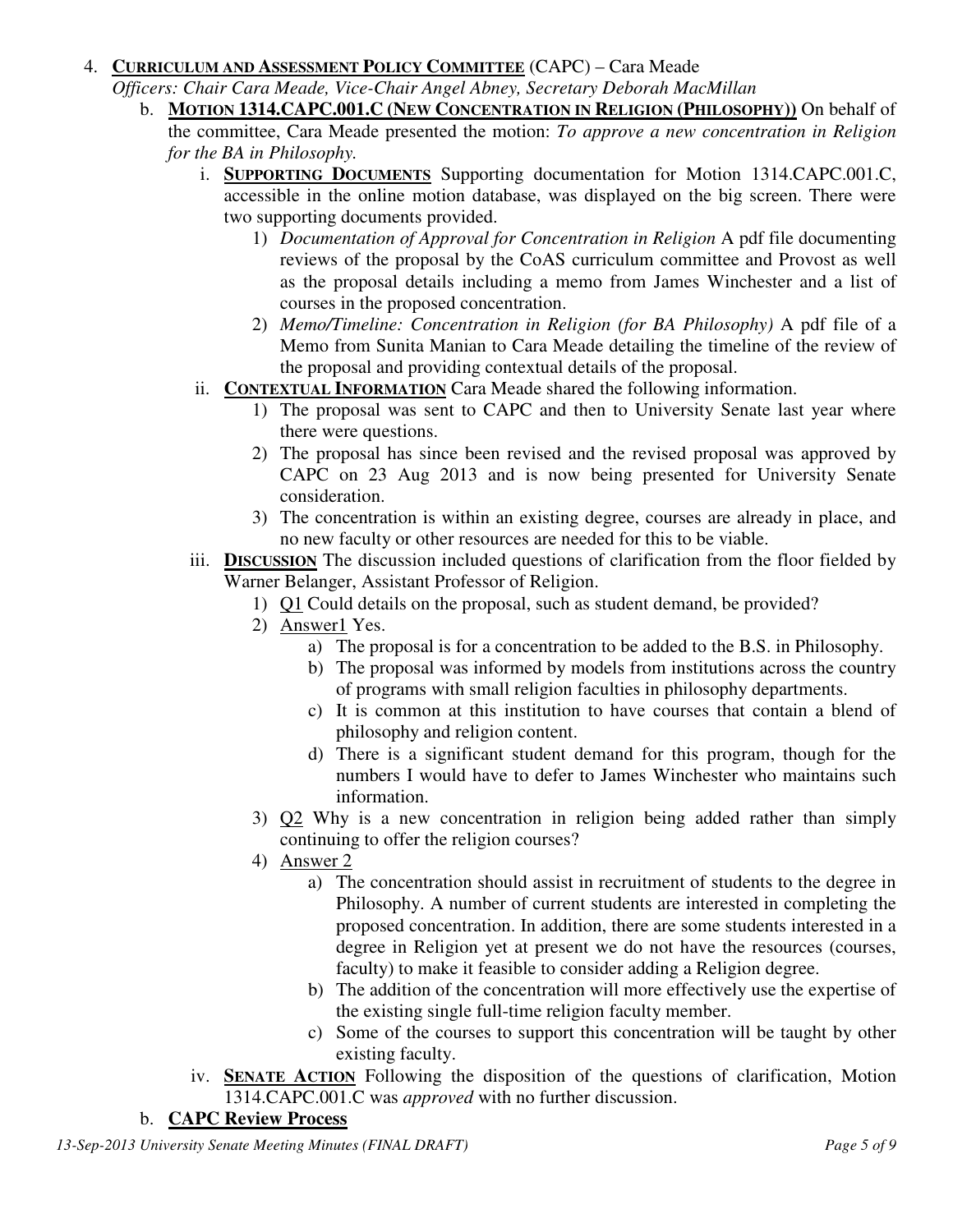#### 4. **CURRICULUM AND ASSESSMENT POLICY COMMITTEE** (CAPC) – Cara Meade

*Officers: Chair Cara Meade, Vice-Chair Angel Abney, Secretary Deborah MacMillan*

- b. **MOTION 1314.CAPC.001.C (NEW CONCENTRATION IN RELIGION (PHILOSOPHY))** On behalf of the committee, Cara Meade presented the motion: *To approve a new concentration in Religion for the BA in Philosophy.*
	- i. **SUPPORTING DOCUMENTS** Supporting documentation for Motion 1314.CAPC.001.C, accessible in the online motion database, was displayed on the big screen. There were two supporting documents provided.
		- 1) *Documentation of Approval for Concentration in Religion* A pdf file documenting reviews of the proposal by the CoAS curriculum committee and Provost as well as the proposal details including a memo from James Winchester and a list of courses in the proposed concentration.
		- 2) *Memo/Timeline: Concentration in Religion (for BA Philosophy)* A pdf file of a Memo from Sunita Manian to Cara Meade detailing the timeline of the review of the proposal and providing contextual details of the proposal.
	- ii. **CONTEXTUAL INFORMATION** Cara Meade shared the following information.
		- 1) The proposal was sent to CAPC and then to University Senate last year where there were questions.
		- 2) The proposal has since been revised and the revised proposal was approved by CAPC on 23 Aug 2013 and is now being presented for University Senate consideration.
		- 3) The concentration is within an existing degree, courses are already in place, and no new faculty or other resources are needed for this to be viable.
	- iii. **DISCUSSION** The discussion included questions of clarification from the floor fielded by Warner Belanger, Assistant Professor of Religion.
		- 1) Q1 Could details on the proposal, such as student demand, be provided?
		- 2) Answer1 Yes.
			- a) The proposal is for a concentration to be added to the B.S. in Philosophy.
			- b) The proposal was informed by models from institutions across the country of programs with small religion faculties in philosophy departments.
			- c) It is common at this institution to have courses that contain a blend of philosophy and religion content.
			- d) There is a significant student demand for this program, though for the numbers I would have to defer to James Winchester who maintains such information.
		- 3) Q2 Why is a new concentration in religion being added rather than simply continuing to offer the religion courses?
		- 4) Answer 2
			- a) The concentration should assist in recruitment of students to the degree in Philosophy. A number of current students are interested in completing the proposed concentration. In addition, there are some students interested in a degree in Religion yet at present we do not have the resources (courses, faculty) to make it feasible to consider adding a Religion degree.
			- b) The addition of the concentration will more effectively use the expertise of the existing single full-time religion faculty member.
			- c) Some of the courses to support this concentration will be taught by other existing faculty.
	- iv. **SENATE ACTION** Following the disposition of the questions of clarification, Motion 1314.CAPC.001.C was *approved* with no further discussion.

# b. **CAPC Review Process**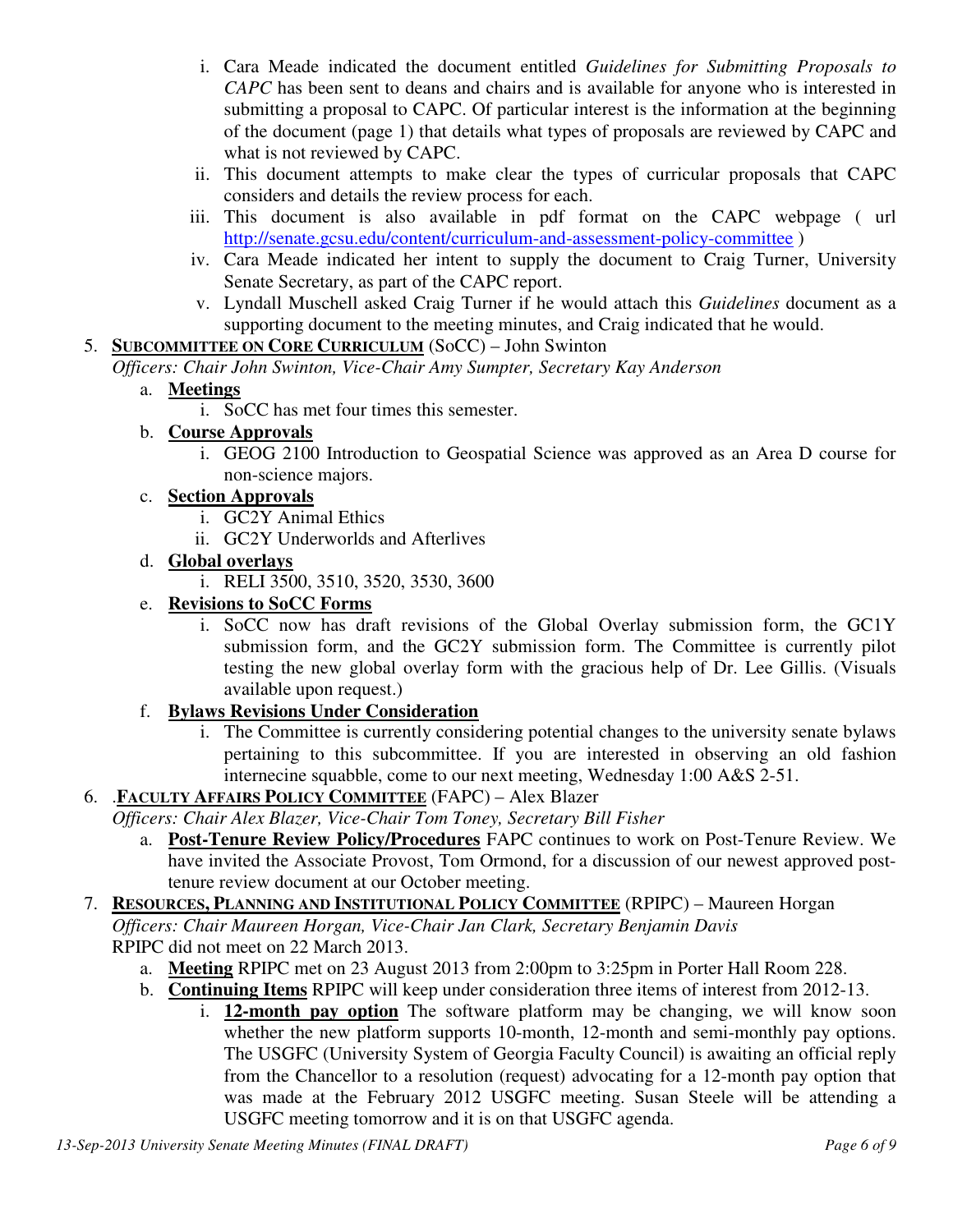- i. Cara Meade indicated the document entitled *Guidelines for Submitting Proposals to CAPC* has been sent to deans and chairs and is available for anyone who is interested in submitting a proposal to CAPC. Of particular interest is the information at the beginning of the document (page 1) that details what types of proposals are reviewed by CAPC and what is not reviewed by CAPC.
- ii. This document attempts to make clear the types of curricular proposals that CAPC considers and details the review process for each.
- iii. This document is also available in pdf format on the CAPC webpage ( url http://senate.gcsu.edu/content/curriculum-and-assessment-policy-committee )
- iv. Cara Meade indicated her intent to supply the document to Craig Turner, University Senate Secretary, as part of the CAPC report.
- v. Lyndall Muschell asked Craig Turner if he would attach this *Guidelines* document as a supporting document to the meeting minutes, and Craig indicated that he would.

## 5. **SUBCOMMITTEE ON CORE CURRICULUM** (SoCC) – John Swinton

*Officers: Chair John Swinton, Vice-Chair Amy Sumpter, Secretary Kay Anderson*

### a. **Meetings**

- i. SoCC has met four times this semester.
- b. **Course Approvals**
	- i. GEOG 2100 Introduction to Geospatial Science was approved as an Area D course for non-science majors.

### c. **Section Approvals**

- i. GC2Y Animal Ethics
- ii. GC2Y Underworlds and Afterlives
- d. **Global overlays**
	- i. RELI 3500, 3510, 3520, 3530, 3600

## e. **Revisions to SoCC Forms**

i. SoCC now has draft revisions of the Global Overlay submission form, the GC1Y submission form, and the GC2Y submission form. The Committee is currently pilot testing the new global overlay form with the gracious help of Dr. Lee Gillis. (Visuals available upon request.)

## f. **Bylaws Revisions Under Consideration**

i. The Committee is currently considering potential changes to the university senate bylaws pertaining to this subcommittee. If you are interested in observing an old fashion internecine squabble, come to our next meeting, Wednesday 1:00 A&S 2-51.

### 6. .**FACULTY AFFAIRS POLICY COMMITTEE** (FAPC) – Alex Blazer

- *Officers: Chair Alex Blazer, Vice-Chair Tom Toney, Secretary Bill Fisher*
	- a. **Post-Tenure Review Policy/Procedures** FAPC continues to work on Post-Tenure Review. We have invited the Associate Provost, Tom Ormond, for a discussion of our newest approved posttenure review document at our October meeting.

### 7. **RESOURCES, PLANNING AND INSTITUTIONAL POLICY COMMITTEE** (RPIPC) – Maureen Horgan *Officers: Chair Maureen Horgan, Vice-Chair Jan Clark, Secretary Benjamin Davis*  RPIPC did not meet on 22 March 2013.

- a. **Meeting** RPIPC met on 23 August 2013 from 2:00pm to 3:25pm in Porter Hall Room 228.
- b. **Continuing Items** RPIPC will keep under consideration three items of interest from 2012-13.
	- i. **12-month pay option** The software platform may be changing, we will know soon whether the new platform supports 10-month, 12-month and semi-monthly pay options. The USGFC (University System of Georgia Faculty Council) is awaiting an official reply from the Chancellor to a resolution (request) advocating for a 12-month pay option that was made at the February 2012 USGFC meeting. Susan Steele will be attending a USGFC meeting tomorrow and it is on that USGFC agenda.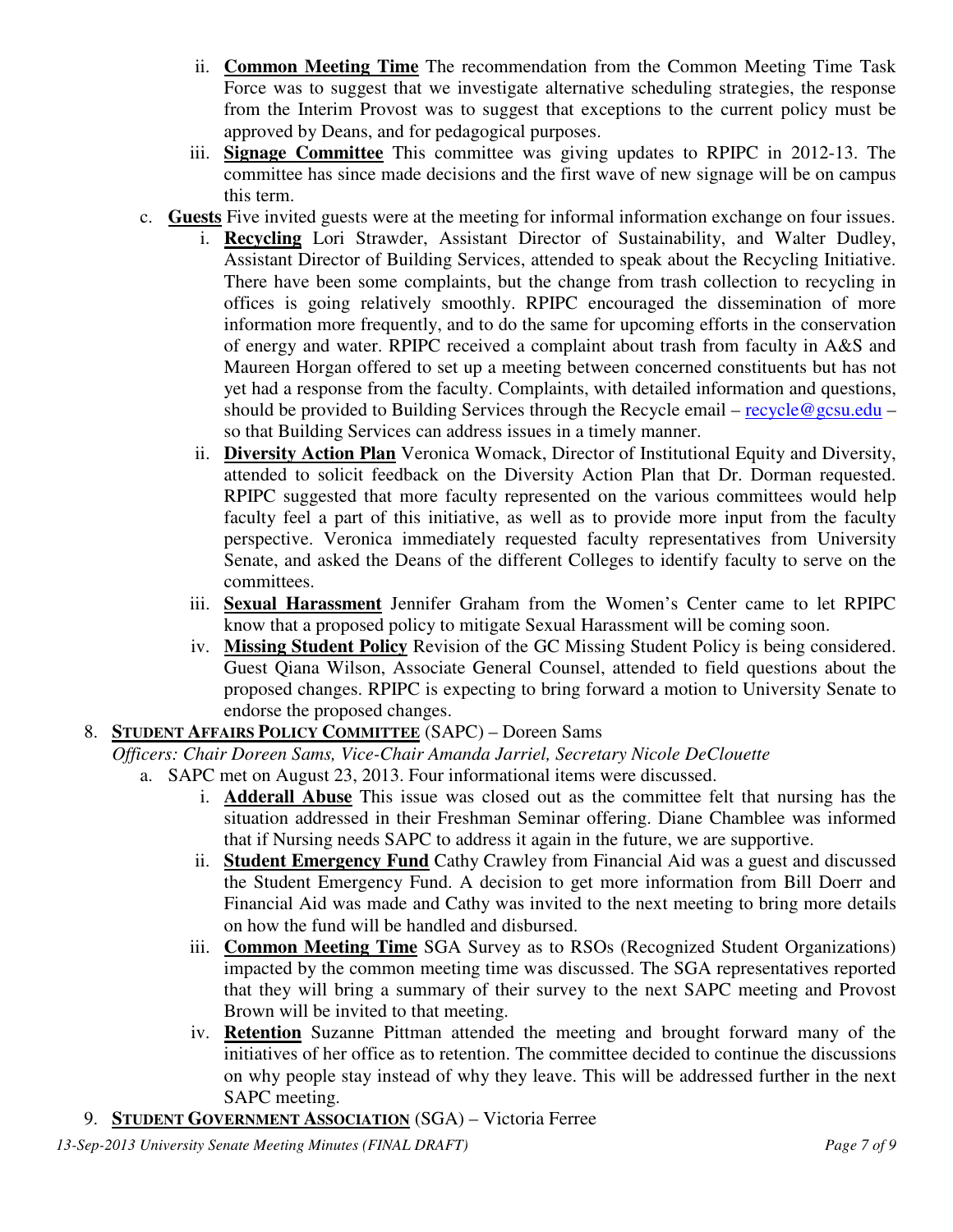- ii. **Common Meeting Time** The recommendation from the Common Meeting Time Task Force was to suggest that we investigate alternative scheduling strategies, the response from the Interim Provost was to suggest that exceptions to the current policy must be approved by Deans, and for pedagogical purposes.
- iii. **Signage Committee** This committee was giving updates to RPIPC in 2012-13. The committee has since made decisions and the first wave of new signage will be on campus this term.
- c. **Guests** Five invited guests were at the meeting for informal information exchange on four issues.
	- i. **Recycling** Lori Strawder, Assistant Director of Sustainability, and Walter Dudley, Assistant Director of Building Services, attended to speak about the Recycling Initiative. There have been some complaints, but the change from trash collection to recycling in offices is going relatively smoothly. RPIPC encouraged the dissemination of more information more frequently, and to do the same for upcoming efforts in the conservation of energy and water. RPIPC received a complaint about trash from faculty in A&S and Maureen Horgan offered to set up a meeting between concerned constituents but has not yet had a response from the faculty. Complaints, with detailed information and questions, should be provided to Building Services through the Recycle email – recycle@gcsu.edu – so that Building Services can address issues in a timely manner.
	- ii. **Diversity Action Plan** Veronica Womack, Director of Institutional Equity and Diversity, attended to solicit feedback on the Diversity Action Plan that Dr. Dorman requested. RPIPC suggested that more faculty represented on the various committees would help faculty feel a part of this initiative, as well as to provide more input from the faculty perspective. Veronica immediately requested faculty representatives from University Senate, and asked the Deans of the different Colleges to identify faculty to serve on the committees.
	- iii. **Sexual Harassment** Jennifer Graham from the Women's Center came to let RPIPC know that a proposed policy to mitigate Sexual Harassment will be coming soon.
	- iv. **Missing Student Policy** Revision of the GC Missing Student Policy is being considered. Guest Qiana Wilson, Associate General Counsel, attended to field questions about the proposed changes. RPIPC is expecting to bring forward a motion to University Senate to endorse the proposed changes.

### 8. **STUDENT AFFAIRS POLICY COMMITTEE** (SAPC) – Doreen Sams

*Officers: Chair Doreen Sams, Vice-Chair Amanda Jarriel, Secretary Nicole DeClouette*

- a. SAPC met on August 23, 2013. Four informational items were discussed.
	- i. **Adderall Abuse** This issue was closed out as the committee felt that nursing has the situation addressed in their Freshman Seminar offering. Diane Chamblee was informed that if Nursing needs SAPC to address it again in the future, we are supportive.
	- ii. **Student Emergency Fund** Cathy Crawley from Financial Aid was a guest and discussed the Student Emergency Fund. A decision to get more information from Bill Doerr and Financial Aid was made and Cathy was invited to the next meeting to bring more details on how the fund will be handled and disbursed.
	- iii. **Common Meeting Time** SGA Survey as to RSOs (Recognized Student Organizations) impacted by the common meeting time was discussed. The SGA representatives reported that they will bring a summary of their survey to the next SAPC meeting and Provost Brown will be invited to that meeting.
	- iv. **Retention** Suzanne Pittman attended the meeting and brought forward many of the initiatives of her office as to retention. The committee decided to continue the discussions on why people stay instead of why they leave. This will be addressed further in the next SAPC meeting.
- 9. **STUDENT GOVERNMENT ASSOCIATION** (SGA) Victoria Ferree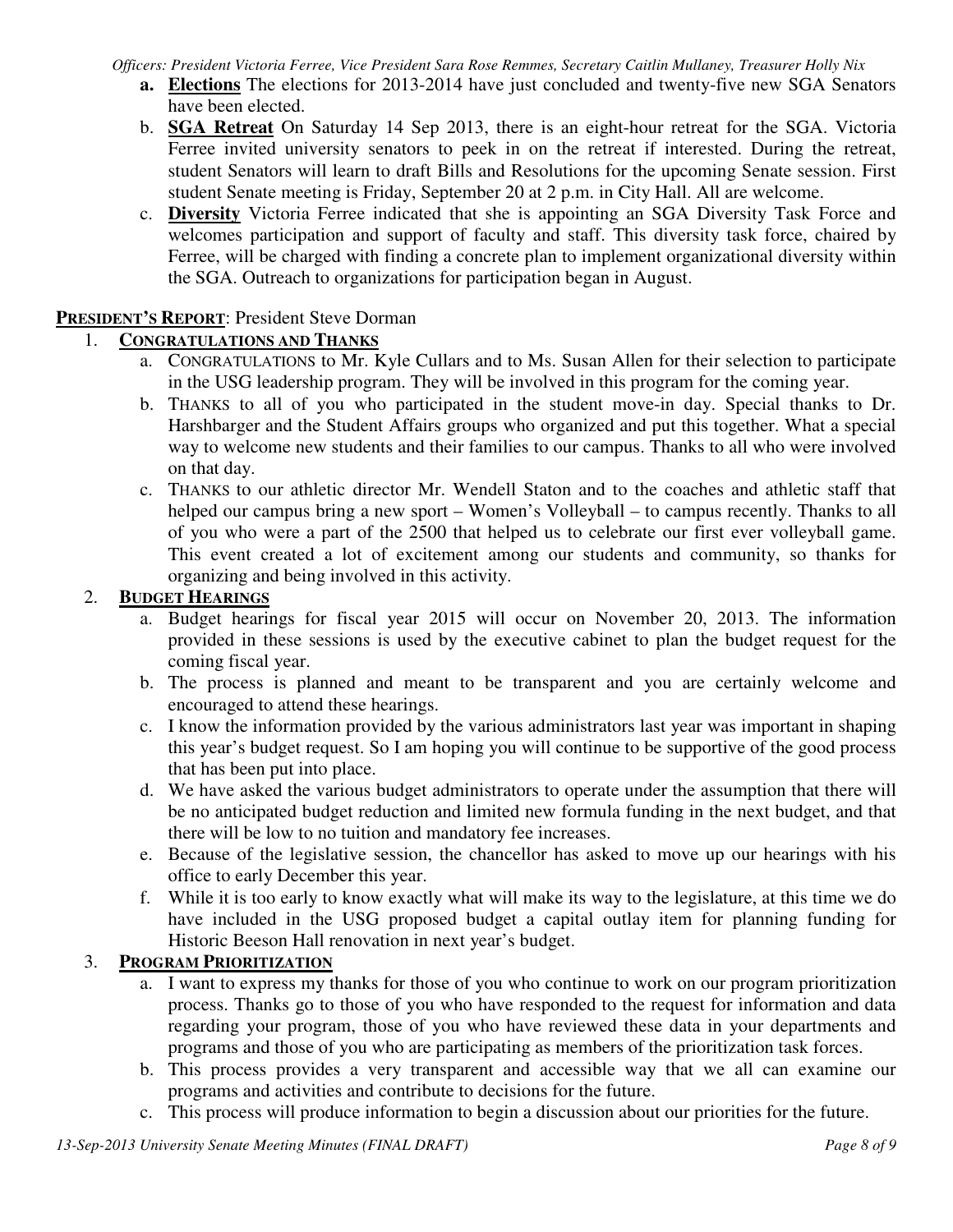*Officers: President Victoria Ferree, Vice President Sara Rose Remmes, Secretary Caitlin Mullaney, Treasurer Holly Nix*

- **a. Elections** The elections for 2013-2014 have just concluded and twenty-five new SGA Senators have been elected.
- b. **SGA Retreat** On Saturday 14 Sep 2013, there is an eight-hour retreat for the SGA. Victoria Ferree invited university senators to peek in on the retreat if interested. During the retreat, student Senators will learn to draft Bills and Resolutions for the upcoming Senate session. First student Senate meeting is Friday, September 20 at 2 p.m. in City Hall. All are welcome.
- c. **Diversity** Victoria Ferree indicated that she is appointing an SGA Diversity Task Force and welcomes participation and support of faculty and staff. This diversity task force, chaired by Ferree, will be charged with finding a concrete plan to implement organizational diversity within the SGA. Outreach to organizations for participation began in August.

### **PRESIDENT'S REPORT**: President Steve Dorman

## 1. **CONGRATULATIONS AND THANKS**

- a. CONGRATULATIONS to Mr. Kyle Cullars and to Ms. Susan Allen for their selection to participate in the USG leadership program. They will be involved in this program for the coming year.
- b. THANKS to all of you who participated in the student move-in day. Special thanks to Dr. Harshbarger and the Student Affairs groups who organized and put this together. What a special way to welcome new students and their families to our campus. Thanks to all who were involved on that day.
- c. THANKS to our athletic director Mr. Wendell Staton and to the coaches and athletic staff that helped our campus bring a new sport – Women's Volleyball – to campus recently. Thanks to all of you who were a part of the 2500 that helped us to celebrate our first ever volleyball game. This event created a lot of excitement among our students and community, so thanks for organizing and being involved in this activity.

## 2. **BUDGET HEARINGS**

- a. Budget hearings for fiscal year 2015 will occur on November 20, 2013. The information provided in these sessions is used by the executive cabinet to plan the budget request for the coming fiscal year.
- b. The process is planned and meant to be transparent and you are certainly welcome and encouraged to attend these hearings.
- c. I know the information provided by the various administrators last year was important in shaping this year's budget request. So I am hoping you will continue to be supportive of the good process that has been put into place.
- d. We have asked the various budget administrators to operate under the assumption that there will be no anticipated budget reduction and limited new formula funding in the next budget, and that there will be low to no tuition and mandatory fee increases.
- e. Because of the legislative session, the chancellor has asked to move up our hearings with his office to early December this year.
- f. While it is too early to know exactly what will make its way to the legislature, at this time we do have included in the USG proposed budget a capital outlay item for planning funding for Historic Beeson Hall renovation in next year's budget.

# 3. **PROGRAM PRIORITIZATION**

- a. I want to express my thanks for those of you who continue to work on our program prioritization process. Thanks go to those of you who have responded to the request for information and data regarding your program, those of you who have reviewed these data in your departments and programs and those of you who are participating as members of the prioritization task forces.
- b. This process provides a very transparent and accessible way that we all can examine our programs and activities and contribute to decisions for the future.
- c. This process will produce information to begin a discussion about our priorities for the future.